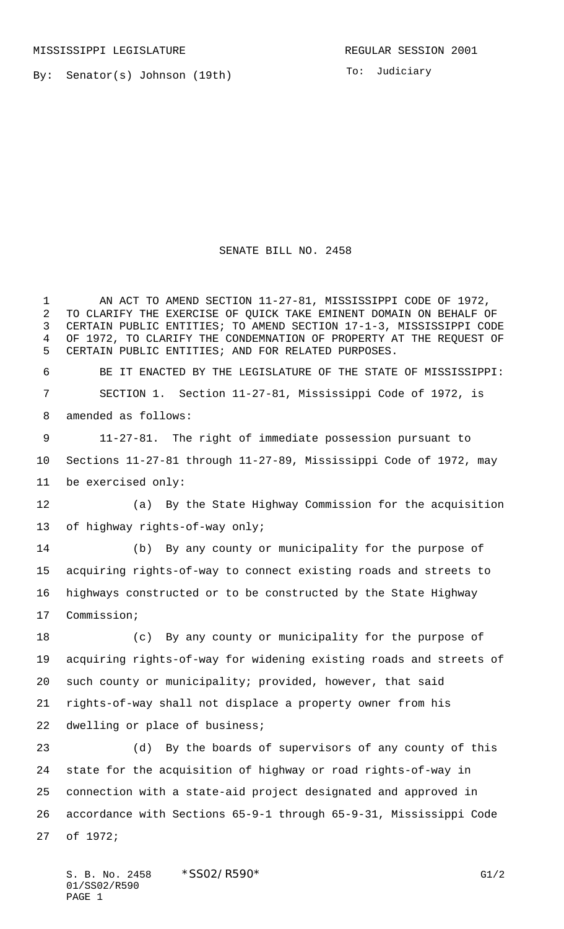By: Senator(s) Johnson (19th)

To: Judiciary

## SENATE BILL NO. 2458

1 AN ACT TO AMEND SECTION 11-27-81, MISSISSIPPI CODE OF 1972, TO CLARIFY THE EXERCISE OF QUICK TAKE EMINENT DOMAIN ON BEHALF OF CERTAIN PUBLIC ENTITIES; TO AMEND SECTION 17-1-3, MISSISSIPPI CODE OF 1972, TO CLARIFY THE CONDEMNATION OF PROPERTY AT THE REQUEST OF CERTAIN PUBLIC ENTITIES; AND FOR RELATED PURPOSES. BE IT ENACTED BY THE LEGISLATURE OF THE STATE OF MISSISSIPPI: SECTION 1. Section 11-27-81, Mississippi Code of 1972, is amended as follows: 11-27-81. The right of immediate possession pursuant to Sections 11-27-81 through 11-27-89, Mississippi Code of 1972, may be exercised only: (a) By the State Highway Commission for the acquisition of highway rights-of-way only; (b) By any county or municipality for the purpose of acquiring rights-of-way to connect existing roads and streets to highways constructed or to be constructed by the State Highway Commission; (c) By any county or municipality for the purpose of acquiring rights-of-way for widening existing roads and streets of such county or municipality; provided, however, that said rights-of-way shall not displace a property owner from his dwelling or place of business; (d) By the boards of supervisors of any county of this state for the acquisition of highway or road rights-of-way in connection with a state-aid project designated and approved in accordance with Sections 65-9-1 through 65-9-31, Mississippi Code of 1972;

S. B. No. 2458 \* SS02/R590\* G1/2 01/SS02/R590 PAGE 1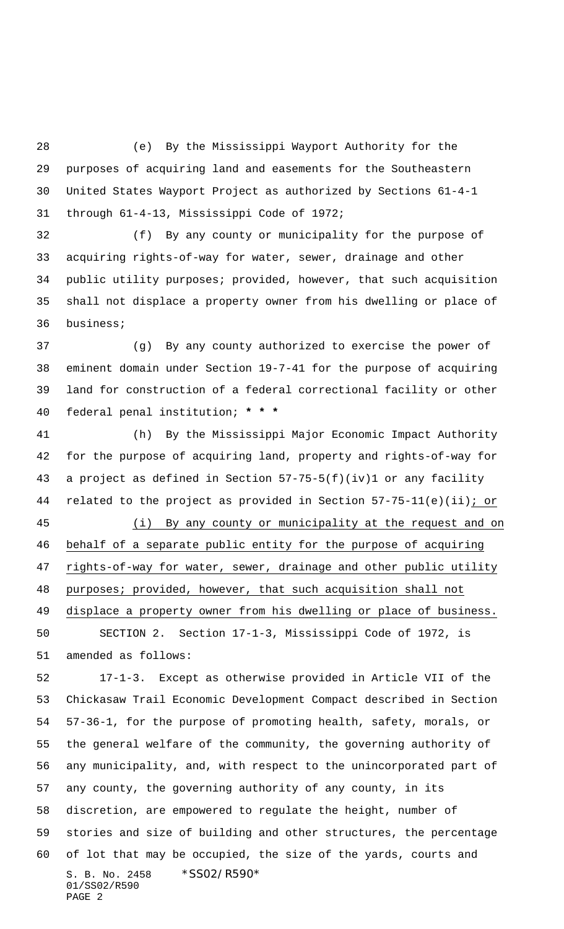(e) By the Mississippi Wayport Authority for the purposes of acquiring land and easements for the Southeastern United States Wayport Project as authorized by Sections 61-4-1 through 61-4-13, Mississippi Code of 1972;

 (f) By any county or municipality for the purpose of acquiring rights-of-way for water, sewer, drainage and other public utility purposes; provided, however, that such acquisition shall not displace a property owner from his dwelling or place of business;

 (g) By any county authorized to exercise the power of eminent domain under Section 19-7-41 for the purpose of acquiring land for construction of a federal correctional facility or other federal penal institution; **\* \* \***

 (h) By the Mississippi Major Economic Impact Authority for the purpose of acquiring land, property and rights-of-way for a project as defined in Section 57-75-5(f)(iv)1 or any facility related to the project as provided in Section 57-75-11(e)(ii); or (i) By any county or municipality at the request and on behalf of a separate public entity for the purpose of acquiring rights-of-way for water, sewer, drainage and other public utility purposes; provided, however, that such acquisition shall not displace a property owner from his dwelling or place of business. SECTION 2. Section 17-1-3, Mississippi Code of 1972, is amended as follows: 17-1-3. Except as otherwise provided in Article VII of the Chickasaw Trail Economic Development Compact described in Section 57-36-1, for the purpose of promoting health, safety, morals, or the general welfare of the community, the governing authority of any municipality, and, with respect to the unincorporated part of any county, the governing authority of any county, in its discretion, are empowered to regulate the height, number of stories and size of building and other structures, the percentage of lot that may be occupied, the size of the yards, courts and

S. B. No. 2458 \*SS02/R590\* 01/SS02/R590 PAGE 2